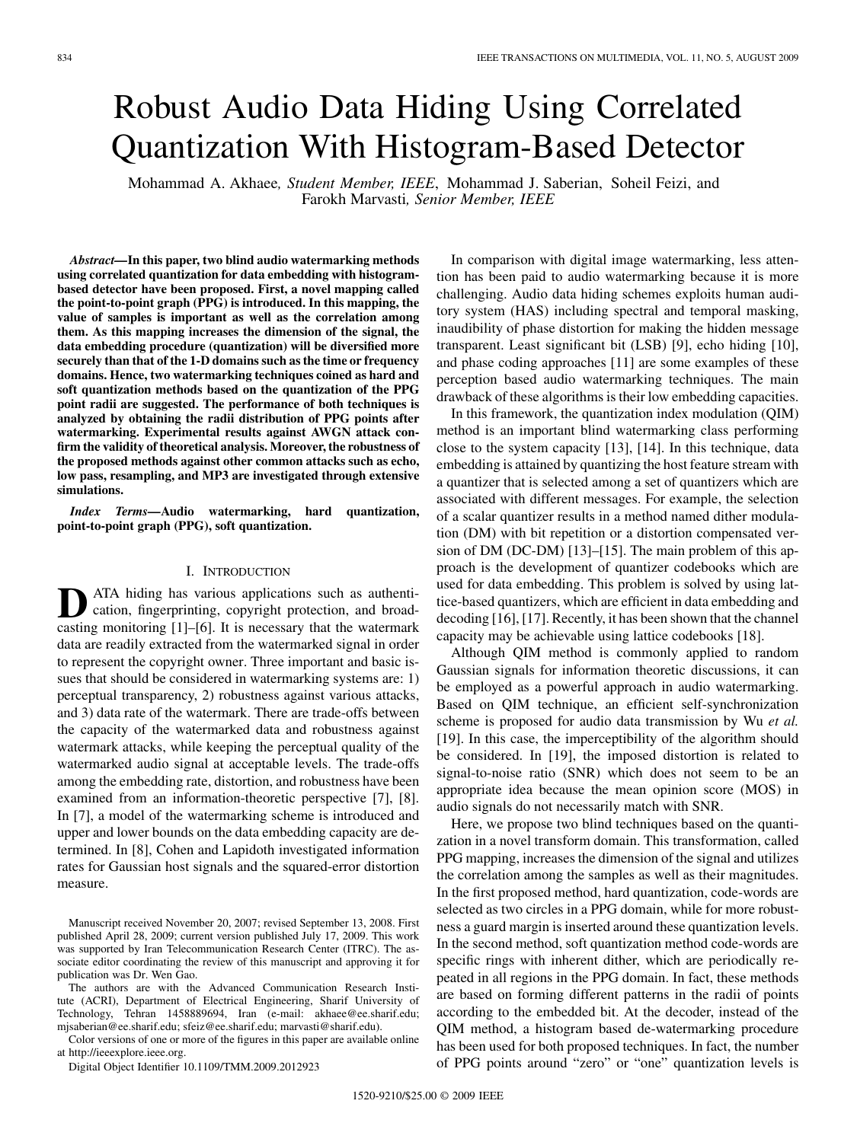# Robust Audio Data Hiding Using Correlated Quantization With Histogram-Based Detector

Mohammad A. Akhaee*, Student Member, IEEE*, Mohammad J. Saberian, Soheil Feizi, and Farokh Marvasti*, Senior Member, IEEE*

*Abstract—***In this paper, two blind audio watermarking methods using correlated quantization for data embedding with histogrambased detector have been proposed. First, a novel mapping called the point-to-point graph (PPG) is introduced. In this mapping, the value of samples is important as well as the correlation among them. As this mapping increases the dimension of the signal, the data embedding procedure (quantization) will be diversified more securely than that of the 1-D domains such as the time or frequency domains. Hence, two watermarking techniques coined as hard and soft quantization methods based on the quantization of the PPG point radii are suggested. The performance of both techniques is analyzed by obtaining the radii distribution of PPG points after watermarking. Experimental results against AWGN attack confirm the validity of theoretical analysis. Moreover, the robustness of the proposed methods against other common attacks such as echo, low pass, resampling, and MP3 are investigated through extensive simulations.**

*Index Terms—***Audio watermarking, hard quantization, point-to-point graph (PPG), soft quantization.**

## I. INTRODUCTION

**D**ATA hiding has various applications such as authenti-<br>cation, fingerprinting, copyright protection, and broad-<br>easting monitoring [1] [6] It is necessary that the untermark casting monitoring [1]–[6]. It is necessary that the watermark data are readily extracted from the watermarked signal in order to represent the copyright owner. Three important and basic issues that should be considered in watermarking systems are: 1) perceptual transparency, 2) robustness against various attacks, and 3) data rate of the watermark. There are trade-offs between the capacity of the watermarked data and robustness against watermark attacks, while keeping the perceptual quality of the watermarked audio signal at acceptable levels. The trade-offs among the embedding rate, distortion, and robustness have been examined from an information-theoretic perspective [7], [8]. In [7], a model of the watermarking scheme is introduced and upper and lower bounds on the data embedding capacity are determined. In [8], Cohen and Lapidoth investigated information rates for Gaussian host signals and the squared-error distortion measure.

The authors are with the Advanced Communication Research Institute (ACRI), Department of Electrical Engineering, Sharif University of Technology, Tehran 1458889694, Iran (e-mail: akhaee@ee.sharif.edu; mjsaberian@ee.sharif.edu; sfeiz@ee.sharif.edu; marvasti@sharif.edu).

Color versions of one or more of the figures in this paper are available online at http://ieeexplore.ieee.org.

Digital Object Identifier 10.1109/TMM.2009.2012923

In comparison with digital image watermarking, less attention has been paid to audio watermarking because it is more challenging. Audio data hiding schemes exploits human auditory system (HAS) including spectral and temporal masking, inaudibility of phase distortion for making the hidden message transparent. Least significant bit (LSB) [9], echo hiding [10], and phase coding approaches [11] are some examples of these perception based audio watermarking techniques. The main drawback of these algorithms is their low embedding capacities.

In this framework, the quantization index modulation (QIM) method is an important blind watermarking class performing close to the system capacity [13], [14]. In this technique, data embedding is attained by quantizing the host feature stream with a quantizer that is selected among a set of quantizers which are associated with different messages. For example, the selection of a scalar quantizer results in a method named dither modulation (DM) with bit repetition or a distortion compensated version of DM (DC-DM) [13]–[15]. The main problem of this approach is the development of quantizer codebooks which are used for data embedding. This problem is solved by using lattice-based quantizers, which are efficient in data embedding and decoding [16], [17]. Recently, it has been shown that the channel capacity may be achievable using lattice codebooks [18].

Although QIM method is commonly applied to random Gaussian signals for information theoretic discussions, it can be employed as a powerful approach in audio watermarking. Based on QIM technique, an efficient self-synchronization scheme is proposed for audio data transmission by Wu *et al.* [19]. In this case, the imperceptibility of the algorithm should be considered. In [19], the imposed distortion is related to signal-to-noise ratio (SNR) which does not seem to be an appropriate idea because the mean opinion score (MOS) in audio signals do not necessarily match with SNR.

Here, we propose two blind techniques based on the quantization in a novel transform domain. This transformation, called PPG mapping, increases the dimension of the signal and utilizes the correlation among the samples as well as their magnitudes. In the first proposed method, hard quantization, code-words are selected as two circles in a PPG domain, while for more robustness a guard margin is inserted around these quantization levels. In the second method, soft quantization method code-words are specific rings with inherent dither, which are periodically repeated in all regions in the PPG domain. In fact, these methods are based on forming different patterns in the radii of points according to the embedded bit. At the decoder, instead of the QIM method, a histogram based de-watermarking procedure has been used for both proposed techniques. In fact, the number of PPG points around "zero" or "one" quantization levels is

Manuscript received November 20, 2007; revised September 13, 2008. First published April 28, 2009; current version published July 17, 2009. This work was supported by Iran Telecommunication Research Center (ITRC). The associate editor coordinating the review of this manuscript and approving it for publication was Dr. Wen Gao.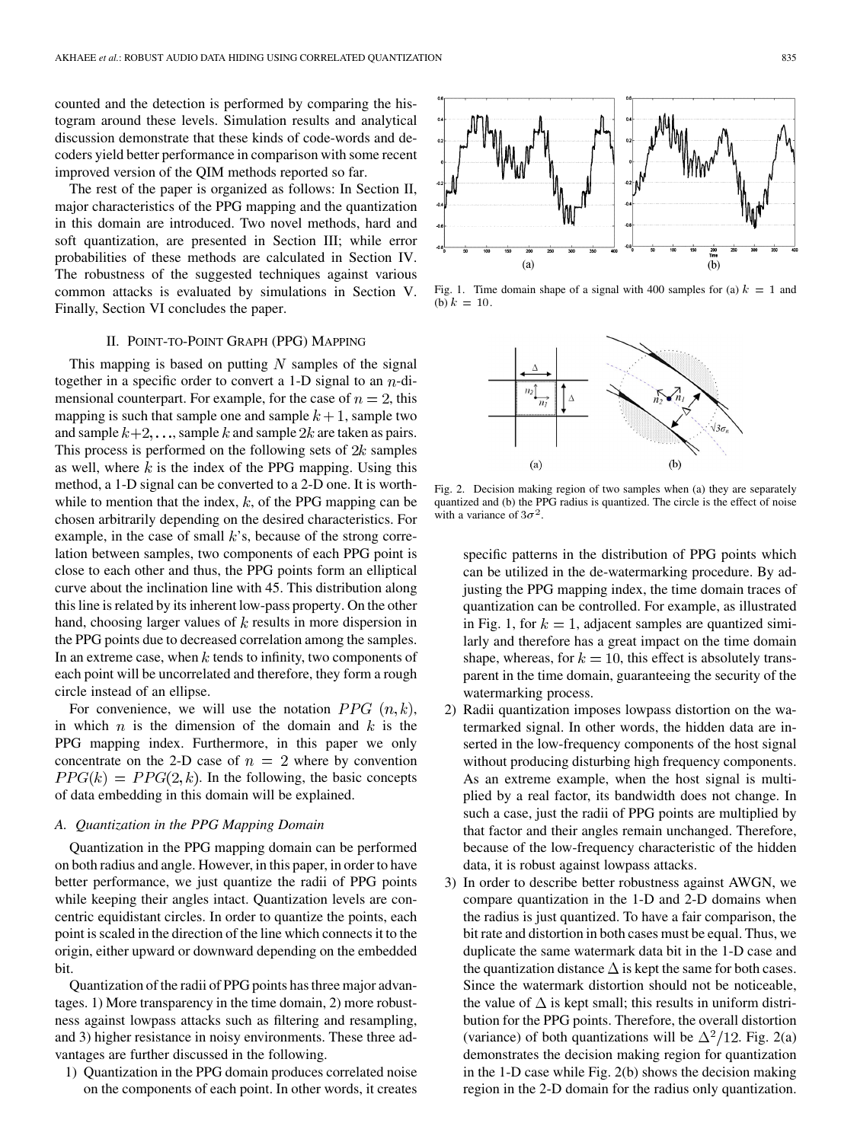counted and the detection is performed by comparing the histogram around these levels. Simulation results and analytical discussion demonstrate that these kinds of code-words and decoders yield better performance in comparison with some recent improved version of the QIM methods reported so far.

The rest of the paper is organized as follows: In Section II, major characteristics of the PPG mapping and the quantization in this domain are introduced. Two novel methods, hard and soft quantization, are presented in Section III; while error probabilities of these methods are calculated in Section IV. The robustness of the suggested techniques against various common attacks is evaluated by simulations in Section V. Finally, Section VI concludes the paper.

## II. POINT-TO-POINT GRAPH (PPG) MAPPING

This mapping is based on putting  $N$  samples of the signal together in a specific order to convert a 1-D signal to an  $n$ -dimensional counterpart. For example, for the case of  $n = 2$ , this mapping is such that sample one and sample  $k + 1$ , sample two and sample  $k+2, \ldots$ , sample k and sample 2k are taken as pairs. This process is performed on the following sets of  $2k$  samples as well, where  $k$  is the index of the PPG mapping. Using this method, a 1-D signal can be converted to a 2-D one. It is worthwhile to mention that the index,  $k$ , of the PPG mapping can be chosen arbitrarily depending on the desired characteristics. For example, in the case of small  $k$ 's, because of the strong correlation between samples, two components of each PPG point is close to each other and thus, the PPG points form an elliptical curve about the inclination line with 45. This distribution along this line is related by its inherent low-pass property. On the other hand, choosing larger values of  $k$  results in more dispersion in the PPG points due to decreased correlation among the samples. In an extreme case, when  $k$  tends to infinity, two components of each point will be uncorrelated and therefore, they form a rough circle instead of an ellipse.

For convenience, we will use the notation  $PPG (n, k)$ , in which  $n$  is the dimension of the domain and  $k$  is the PPG mapping index. Furthermore, in this paper we only concentrate on the 2-D case of  $n = 2$  where by convention  $PPG(k) = PPG(2, k)$ . In the following, the basic concepts of data embedding in this domain will be explained.

#### *A. Quantization in the PPG Mapping Domain*

Quantization in the PPG mapping domain can be performed on both radius and angle. However, in this paper, in order to have better performance, we just quantize the radii of PPG points while keeping their angles intact. Quantization levels are concentric equidistant circles. In order to quantize the points, each point is scaled in the direction of the line which connects it to the origin, either upward or downward depending on the embedded bit.

Quantization of the radii of PPG points has three major advantages. 1) More transparency in the time domain, 2) more robustness against lowpass attacks such as filtering and resampling, and 3) higher resistance in noisy environments. These three advantages are further discussed in the following.

1) Quantization in the PPG domain produces correlated noise on the components of each point. In other words, it creates



Fig. 1. Time domain shape of a signal with 400 samples for (a)  $k = 1$  and (b)  $k = 10$ .



Fig. 2. Decision making region of two samples when (a) they are separately quantized and (b) the PPG radius is quantized. The circle is the effect of noise with a variance of  $3\sigma^2$ .

specific patterns in the distribution of PPG points which can be utilized in the de-watermarking procedure. By adjusting the PPG mapping index, the time domain traces of quantization can be controlled. For example, as illustrated in Fig. 1, for  $k = 1$ , adjacent samples are quantized similarly and therefore has a great impact on the time domain shape, whereas, for  $k = 10$ , this effect is absolutely transparent in the time domain, guaranteeing the security of the watermarking process.

- 2) Radii quantization imposes lowpass distortion on the watermarked signal. In other words, the hidden data are inserted in the low-frequency components of the host signal without producing disturbing high frequency components. As an extreme example, when the host signal is multiplied by a real factor, its bandwidth does not change. In such a case, just the radii of PPG points are multiplied by that factor and their angles remain unchanged. Therefore, because of the low-frequency characteristic of the hidden data, it is robust against lowpass attacks.
- 3) In order to describe better robustness against AWGN, we compare quantization in the 1-D and 2-D domains when the radius is just quantized. To have a fair comparison, the bit rate and distortion in both cases must be equal. Thus, we duplicate the same watermark data bit in the 1-D case and the quantization distance  $\Delta$  is kept the same for both cases. Since the watermark distortion should not be noticeable, the value of  $\Delta$  is kept small; this results in uniform distribution for the PPG points. Therefore, the overall distortion (variance) of both quantizations will be  $\Delta^2/12$ . Fig. 2(a) demonstrates the decision making region for quantization in the 1-D case while Fig. 2(b) shows the decision making region in the 2-D domain for the radius only quantization.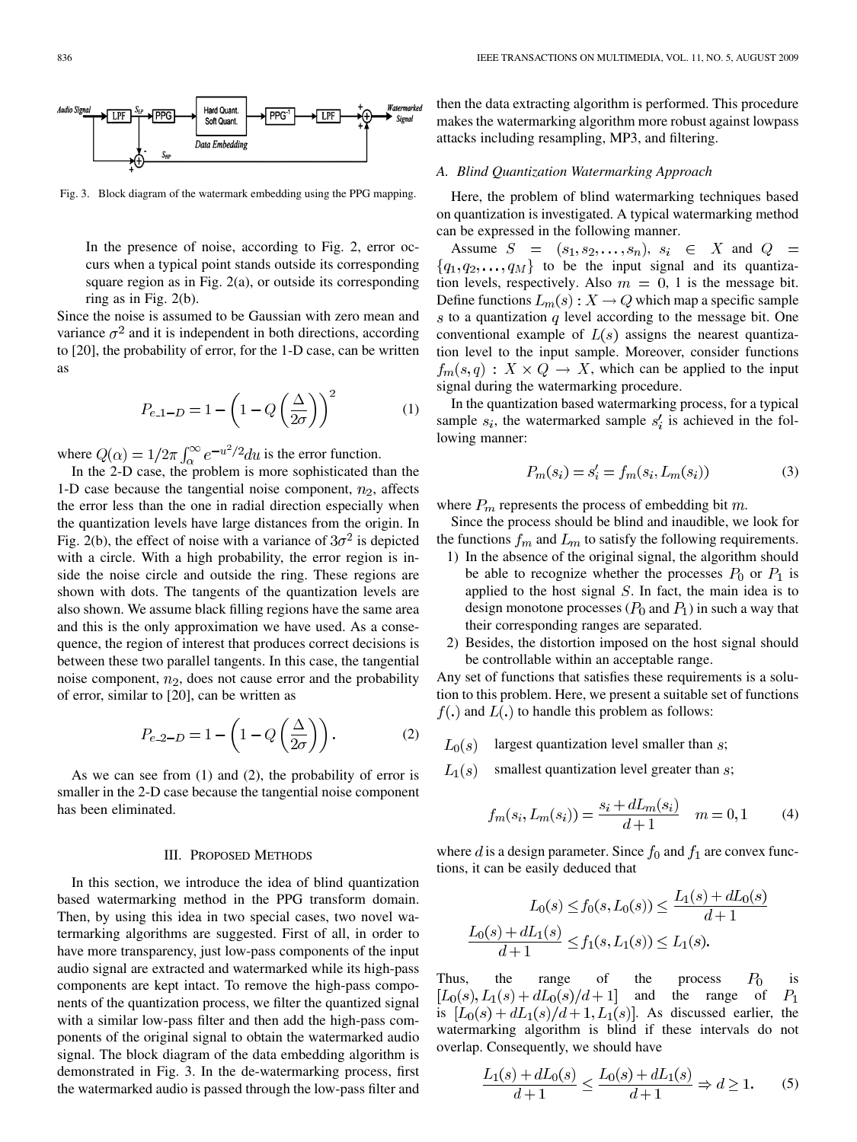

Fig. 3. Block diagram of the watermark embedding using the PPG mapping.

In the presence of noise, according to Fig. 2, error occurs when a typical point stands outside its corresponding square region as in Fig. 2(a), or outside its corresponding ring as in Fig. 2(b).

Since the noise is assumed to be Gaussian with zero mean and variance  $\sigma^2$  and it is independent in both directions, according to [20], the probability of error, for the 1-D case, can be written as

$$
P_{e\text{-}1-D} = 1 - \left(1 - Q\left(\frac{\Delta}{2\sigma}\right)\right)^2\tag{1}
$$

where  $Q(\alpha)=1/2\pi\int_{\alpha}^{\infty}e^{-u^{2}/2}du$  is the error function.

In the 2-D case, the problem is more sophisticated than the 1-D case because the tangential noise component,  $n_2$ , affects the error less than the one in radial direction especially when the quantization levels have large distances from the origin. In Fig. 2(b), the effect of noise with a variance of  $3\sigma^2$  is depicted with a circle. With a high probability, the error region is inside the noise circle and outside the ring. These regions are shown with dots. The tangents of the quantization levels are also shown. We assume black filling regions have the same area and this is the only approximation we have used. As a consequence, the region of interest that produces correct decisions is between these two parallel tangents. In this case, the tangential noise component,  $n_2$ , does not cause error and the probability of error, similar to [20], can be written as

$$
P_{e,2-D} = 1 - \left(1 - Q\left(\frac{\Delta}{2\sigma}\right)\right). \tag{2}
$$

As we can see from (1) and (2), the probability of error is smaller in the 2-D case because the tangential noise component has been eliminated.

## III. PROPOSED METHODS

In this section, we introduce the idea of blind quantization based watermarking method in the PPG transform domain. Then, by using this idea in two special cases, two novel watermarking algorithms are suggested. First of all, in order to have more transparency, just low-pass components of the input audio signal are extracted and watermarked while its high-pass components are kept intact. To remove the high-pass components of the quantization process, we filter the quantized signal with a similar low-pass filter and then add the high-pass components of the original signal to obtain the watermarked audio signal. The block diagram of the data embedding algorithm is demonstrated in Fig. 3. In the de-watermarking process, first the watermarked audio is passed through the low-pass filter and then the data extracting algorithm is performed. This procedure makes the watermarking algorithm more robust against lowpass attacks including resampling, MP3, and filtering.

#### *A. Blind Quantization Watermarking Approach*

Here, the problem of blind watermarking techniques based on quantization is investigated. A typical watermarking method can be expressed in the following manner.

Assume  $S = (s_1, s_2, \ldots, s_n), s_i \in X$  and  $Q =$  $\{q_1, q_2, \ldots, q_M\}$  to be the input signal and its quantization levels, respectively. Also  $m = 0$ , 1 is the message bit. Define functions  $L_m(s)$ :  $X \to Q$  which map a specific sample  $s$  to a quantization  $q$  level according to the message bit. One conventional example of  $L(s)$  assigns the nearest quantization level to the input sample. Moreover, consider functions  $f_m(s,q) : X \times Q \to X$ , which can be applied to the input signal during the watermarking procedure.

In the quantization based watermarking process, for a typical sample  $s_i$ , the watermarked sample  $s'_i$  is achieved in the following manner:

$$
P_m(s_i) = s_i' = f_m(s_i, L_m(s_i))
$$
\n(3)

where  $P_m$  represents the process of embedding bit  $m$ .

Since the process should be blind and inaudible, we look for the functions  $f_m$  and  $L_m$  to satisfy the following requirements.

- 1) In the absence of the original signal, the algorithm should be able to recognize whether the processes  $P_0$  or  $P_1$  is applied to the host signal  $S$ . In fact, the main idea is to design monotone processes ( $P_0$  and  $P_1$ ) in such a way that their corresponding ranges are separated.
- 2) Besides, the distortion imposed on the host signal should be controllable within an acceptable range.

Any set of functions that satisfies these requirements is a solution to this problem. Here, we present a suitable set of functions  $f(.)$  and  $L(.)$  to handle this problem as follows:

 $L_0(s)$ largest quantization level smaller than  $s$ ;

 $L_1(s)$ smallest quantization level greater than  $s$ ;

$$
f_m(s_i, L_m(s_i)) = \frac{s_i + dL_m(s_i)}{d+1} \quad m = 0,1 \tag{4}
$$

where d is a design parameter. Since  $f_0$  and  $f_1$  are convex functions, it can be easily deduced that

$$
L_0(s) \le f_0(s, L_0(s)) \le \frac{L_1(s) + dL_0(s)}{d+1}
$$
  

$$
\frac{L_0(s) + dL_1(s)}{d+1} \le f_1(s, L_1(s)) \le L_1(s).
$$

 $\frac{1}{2}$ 

Thus, the range of the process  $P_0$  is  $[L_0(s), L_1(s) + dL_0(s)/d + 1]$ and the range of  $P_1$ is  $[L_0(s) + dL_1(s)/d + 1, L_1(s)]$ . As discussed earlier, the watermarking algorithm is blind if these intervals do not overlap. Consequently, we should have

$$
\frac{L_1(s) + dL_0(s)}{d+1} \le \frac{L_0(s) + dL_1(s)}{d+1} \Rightarrow d \ge 1.
$$
 (5)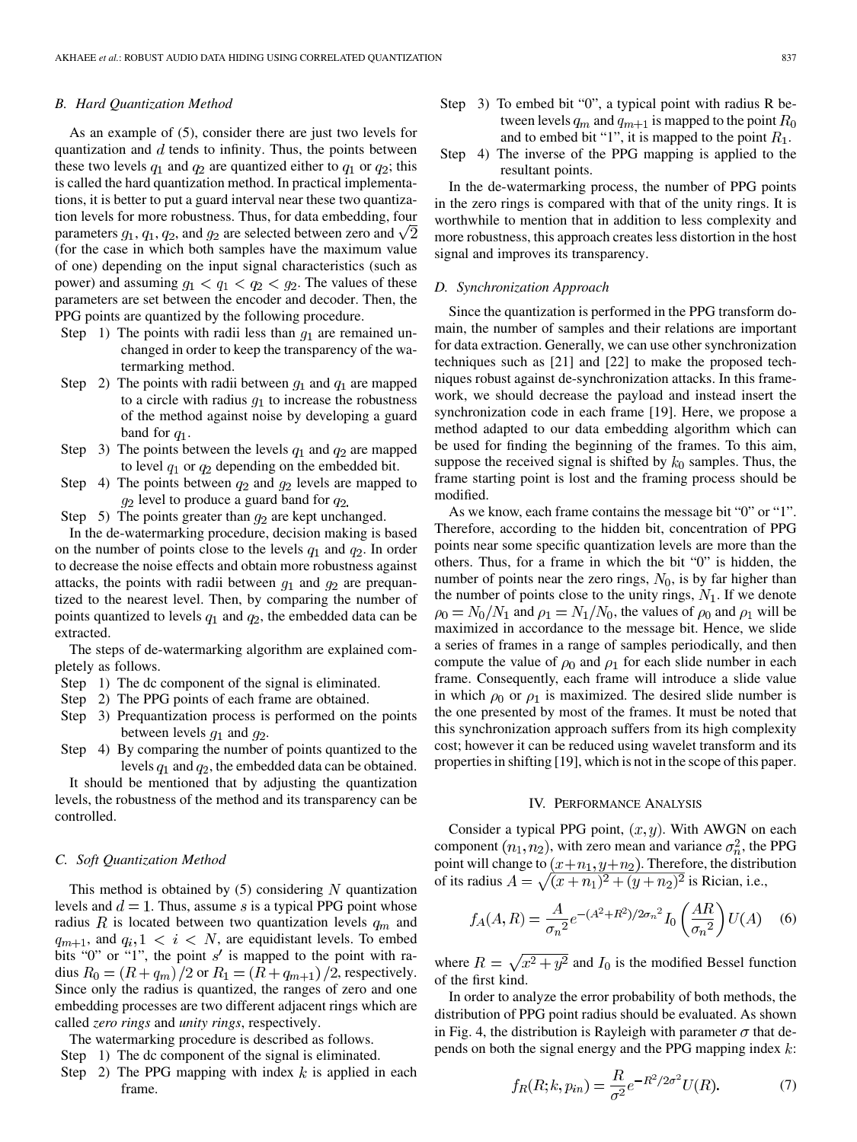## *B. Hard Quantization Method*

As an example of (5), consider there are just two levels for quantization and  $d$  tends to infinity. Thus, the points between these two levels  $q_1$  and  $q_2$  are quantized either to  $q_1$  or  $q_2$ ; this is called the hard quantization method. In practical implementations, it is better to put a guard interval near these two quantization levels for more robustness. Thus, for data embedding, four parameters  $g_1, q_1, q_2$ , and  $g_2$  are selected between zero and  $\sqrt{2}$ (for the case in which both samples have the maximum value of one) depending on the input signal characteristics (such as power) and assuming  $g_1 < q_1 < q_2 < g_2$ . The values of these parameters are set between the encoder and decoder. Then, the PPG points are quantized by the following procedure.

- Step 1) The points with radii less than  $g_1$  are remained unchanged in order to keep the transparency of the watermarking method.
- Step 2) The points with radii between  $g_1$  and  $q_1$  are mapped to a circle with radius  $q_1$  to increase the robustness of the method against noise by developing a guard band for  $q_1$ .
- Step 3) The points between the levels  $q_1$  and  $q_2$  are mapped to level  $q_1$  or  $q_2$  depending on the embedded bit.
- Step 4) The points between  $q_2$  and  $q_2$  levels are mapped to  $g_2$  level to produce a guard band for  $q_2$ .
- Step 5) The points greater than  $g_2$  are kept unchanged.

In the de-watermarking procedure, decision making is based on the number of points close to the levels  $q_1$  and  $q_2$ . In order to decrease the noise effects and obtain more robustness against attacks, the points with radii between  $g_1$  and  $g_2$  are prequantized to the nearest level. Then, by comparing the number of points quantized to levels  $q_1$  and  $q_2$ , the embedded data can be extracted.

The steps of de-watermarking algorithm are explained completely as follows.

- Step 1) The dc component of the signal is eliminated.
- Step 2) The PPG points of each frame are obtained.
- Step 3) Prequantization process is performed on the points between levels  $q_1$  and  $q_2$ .
- Step 4) By comparing the number of points quantized to the levels  $q_1$  and  $q_2$ , the embedded data can be obtained.

It should be mentioned that by adjusting the quantization levels, the robustness of the method and its transparency can be controlled.

### *C. Soft Quantization Method*

This method is obtained by  $(5)$  considering N quantization levels and  $d = 1$ . Thus, assume s is a typical PPG point whose radius R is located between two quantization levels  $q_m$  and  $q_{m+1}$ , and  $q_i, 1 \leq i \leq N$ , are equidistant levels. To embed bits "0" or "1", the point  $s'$  is mapped to the point with radius  $R_0 = (R + q_m)/2$  or  $R_1 = (R + q_{m+1})/2$ , respectively. Since only the radius is quantized, the ranges of zero and one embedding processes are two different adjacent rings which are called *zero rings* and *unity rings*, respectively.

The watermarking procedure is described as follows.

- Step 1) The dc component of the signal is eliminated.
- Step 2) The PPG mapping with index  $k$  is applied in each frame.
- Step 3) To embed bit "0", a typical point with radius R between levels  $q_m$  and  $q_{m+1}$  is mapped to the point and to embed bit "1", it is mapped to the point  $R_1$ .
- Step 4) The inverse of the PPG mapping is applied to the resultant points.

In the de-watermarking process, the number of PPG points in the zero rings is compared with that of the unity rings. It is worthwhile to mention that in addition to less complexity and more robustness, this approach creates less distortion in the host signal and improves its transparency.

#### *D. Synchronization Approach*

Since the quantization is performed in the PPG transform domain, the number of samples and their relations are important for data extraction. Generally, we can use other synchronization techniques such as [21] and [22] to make the proposed techniques robust against de-synchronization attacks. In this framework, we should decrease the payload and instead insert the synchronization code in each frame [19]. Here, we propose a method adapted to our data embedding algorithm which can be used for finding the beginning of the frames. To this aim, suppose the received signal is shifted by  $k_0$  samples. Thus, the frame starting point is lost and the framing process should be modified.

As we know, each frame contains the message bit "0" or "1". Therefore, according to the hidden bit, concentration of PPG points near some specific quantization levels are more than the others. Thus, for a frame in which the bit "0" is hidden, the number of points near the zero rings,  $N_0$ , is by far higher than the number of points close to the unity rings,  $N_1$ . If we denote  $\rho_0 = N_0/N_1$  and  $\rho_1 = N_1/N_0$ , the values of  $\rho_0$  and  $\rho_1$  will be maximized in accordance to the message bit. Hence, we slide a series of frames in a range of samples periodically, and then compute the value of  $\rho_0$  and  $\rho_1$  for each slide number in each frame. Consequently, each frame will introduce a slide value in which  $\rho_0$  or  $\rho_1$  is maximized. The desired slide number is the one presented by most of the frames. It must be noted that this synchronization approach suffers from its high complexity cost; however it can be reduced using wavelet transform and its properties in shifting [19], which is not in the scope of this paper.

## IV. PERFORMANCE ANALYSIS

Consider a typical PPG point,  $(x, y)$ . With AWGN on each component  $(n_1, n_2)$ , with zero mean and variance  $\sigma_n^2$ , the PPG point will change to  $(x+n_1, y+n_2)$ . Therefore, the distribution of its radius  $A = \sqrt{(x + n_1)^2 + (y + n_2)^2}$  is Rician, i.e.,

$$
f_A(A,R) = \frac{A}{\sigma_n^2} e^{-(A^2 + R^2)/2\sigma_n^2} I_0\left(\frac{AR}{\sigma_n^2}\right) U(A) \quad (6)
$$

where  $R = \sqrt{x^2 + y^2}$  and  $I_0$  is the modified Bessel function of the first kind.

In order to analyze the error probability of both methods, the distribution of PPG point radius should be evaluated. As shown in Fig. 4, the distribution is Rayleigh with parameter  $\sigma$  that depends on both the signal energy and the PPG mapping index  $k$ :

$$
f_R(R;k,p_{in}) = \frac{R}{\sigma^2} e^{-R^2/2\sigma^2} U(R). \tag{7}
$$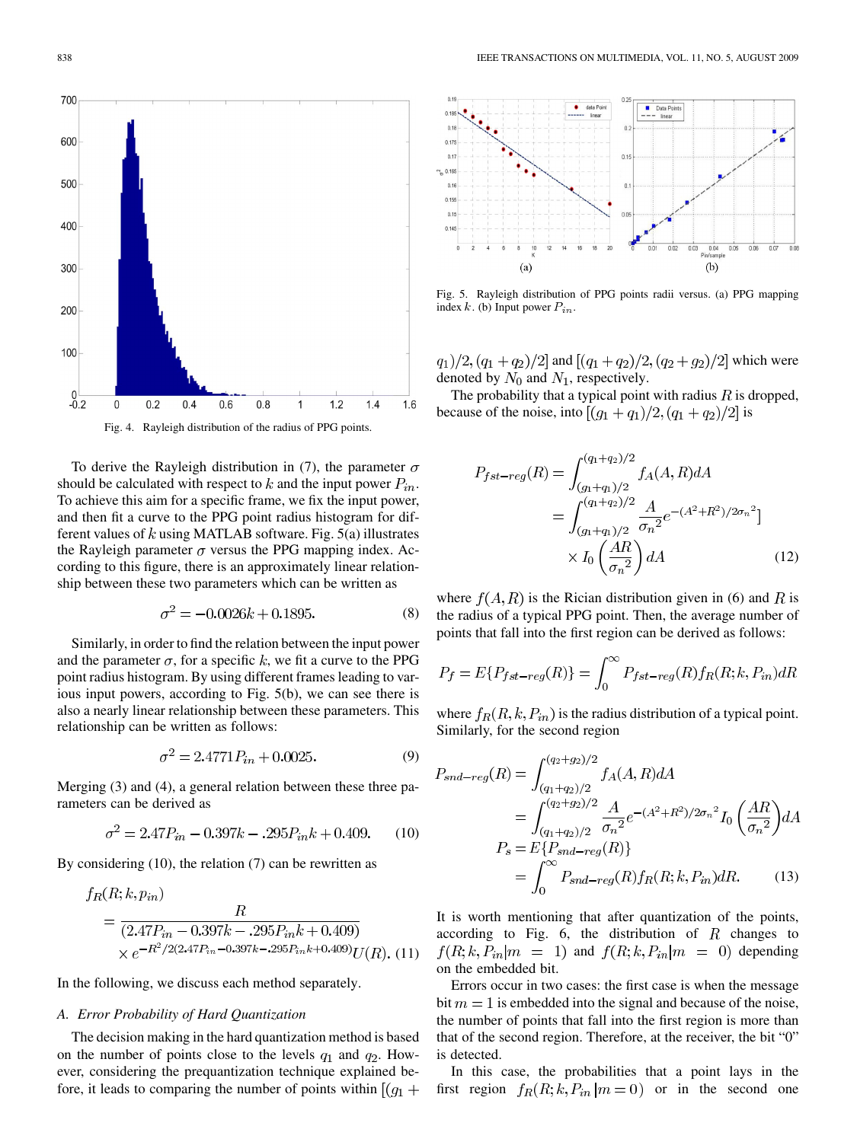

To derive the Rayleigh distribution in (7), the parameter  $\sigma$ should be calculated with respect to k and the input power  $P_{in}$ . To achieve this aim for a specific frame, we fix the input power, and then fit a curve to the PPG point radius histogram for different values of  $k$  using MATLAB software. Fig.  $5(a)$  illustrates the Rayleigh parameter  $\sigma$  versus the PPG mapping index. According to this figure, there is an approximately linear relationship between these two parameters which can be written as

$$
\sigma^2 = -0.0026k + 0.1895. \tag{8}
$$

Similarly, in order to find the relation between the input power and the parameter  $\sigma$ , for a specific k, we fit a curve to the PPG point radius histogram. By using different frames leading to various input powers, according to Fig. 5(b), we can see there is also a nearly linear relationship between these parameters. This relationship can be written as follows:

$$
\sigma^2 = 2.4771P_{in} + 0.0025.
$$
 (9)

Merging (3) and (4), a general relation between these three parameters can be derived as

$$
\sigma^2 = 2.47P_{in} - 0.397k - 0.295P_{in}k + 0.409. \tag{10}
$$

By considering (10), the relation (7) can be rewritten as

$$
f_R(R; k, p_{in})
$$
  
= 
$$
\frac{R}{(2.47P_{in} - 0.397k - .295P_{in}k + 0.409)}
$$
  
\$\times e^{-R^2/2(2.47P\_{in} - 0.397k - .295P\_{in}k + 0.409)}U(R). (11)\$

In the following, we discuss each method separately.

## *A. Error Probability of Hard Quantization*

The decision making in the hard quantization method is based on the number of points close to the levels  $q_1$  and  $q_2$ . However, considering the prequantization technique explained before, it leads to comparing the number of points within  $\left[0, 0, 1\right]$ 



Fig. 5. Rayleigh distribution of PPG points radii versus. (a) PPG mapping index k. (b) Input power  $P_{in}$ .

 $(q_1)/2,(q_1+q_2)/2]$  and  $[(q_1+q_2)/2,(q_2+q_2)/2]$  which were denoted by  $N_0$  and  $N_1$ , respectively.

The probability that a typical point with radius  $R$  is dropped, because of the noise, into  $[(g_1+q_1)/2,(q_1+q_2)/2]$  is

$$
P_{fst-reg}(R) = \int_{(g_1+q_1)/2}^{(q_1+q_2)/2} f_A(A,R)dA
$$
  
= 
$$
\int_{(g_1+q_1)/2}^{(q_1+q_2)/2} \frac{A}{\sigma_n^2} e^{-(A^2+R^2)/2\sigma_n^2}
$$
  

$$
\times I_0 \left(\frac{AR}{\sigma_n^2}\right) dA
$$
 (12)

where  $f(A, R)$  is the Rician distribution given in (6) and R is the radius of a typical PPG point. Then, the average number of points that fall into the first region can be derived as follows:

$$
P_f = E\{P_{fst-reg}(R)\} = \int_0^\infty P_{fst-reg}(R)f_R(R;k,P_{in})dR
$$

where  $f_R(R, k, P_{in})$  is the radius distribution of a typical point. Similarly, for the second region

$$
P_{snd-reg}(R) = \int_{(q_1+q_2)/2}^{(q_2+q_2)/2} f_A(A, R) dA
$$
  
= 
$$
\int_{(q_1+q_2)/2}^{(q_2+q_2)/2} \frac{A}{\sigma_n^2} e^{-(A^2+R^2)/2\sigma_n^2} I_0\left(\frac{AR}{\sigma_n^2}\right) dA
$$
  

$$
P_s = E\{P_{snd-reg}(R)\}
$$
  
= 
$$
\int_0^\infty P_{snd-reg}(R) f_R(R; k, P_{in}) dR.
$$
 (13)

It is worth mentioning that after quantization of the points, according to Fig. 6, the distribution of  $R$  changes to  $f(R; k, P_{in} | m = 1)$  and  $f(R; k, P_{in} | m = 0)$  depending on the embedded bit.

Errors occur in two cases: the first case is when the message bit  $m = 1$  is embedded into the signal and because of the noise, the number of points that fall into the first region is more than that of the second region. Therefore, at the receiver, the bit "0" is detected.

In this case, the probabilities that a point lays in the first region  $f_R(R; k, P_{in} | m = 0)$  or in the second one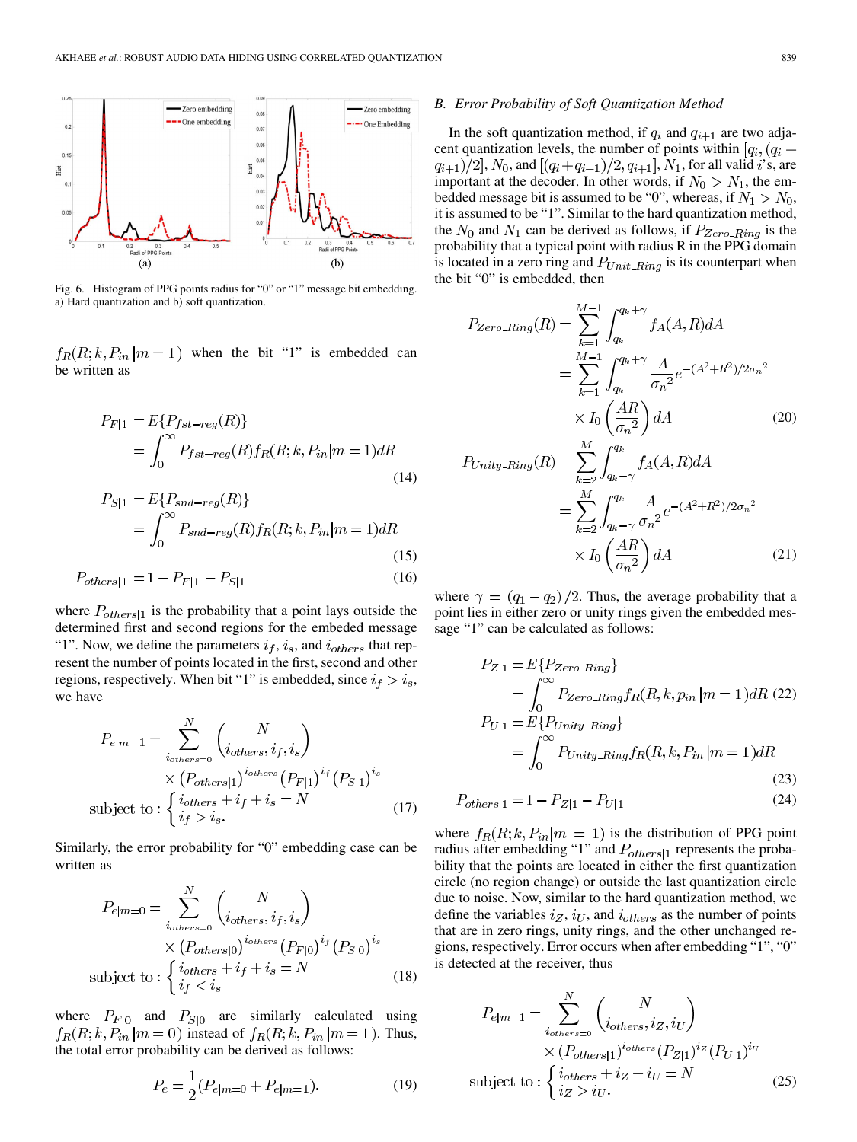

Fig. 6. Histogram of PPG points radius for "0" or "1" message bit embedding. a) Hard quantization and b) soft quantization.

 $f_R(R; k, P_{in} | m = 1)$  when the bit "1" is embedded can be written as

$$
P_{F|1} = E\{P_{fst-reg}(R)\}
$$
  
= 
$$
\int_0^\infty P_{fst-reg}(R)f_R(R;k,P_{in}|m=1)dR
$$
 (14)

$$
P_{S|1} = E\{P_{snd-reg}(R)\}
$$
  
= 
$$
\int_0^\infty P_{snd-reg}(R)f_R(R;k,P_{in}|m=1)dR
$$
 (15)

$$
P_{others|1} = 1 - P_{F|1} - P_{S|1}
$$
 (16)

where  $P_{others|1}$  is the probability that a point lays outside the determined first and second regions for the embeded message "1". Now, we define the parameters  $i_f$ ,  $i_s$ , and  $i_{others}$  that represent the number of points located in the first, second and other regions, respectively. When bit "1" is embedded, since  $i_f > i_s$ , we have

$$
P_{e|m=1} = \sum_{i_{others}=0}^{N} {N \choose i_{others}, i_f, i_s}
$$

$$
\times (P_{others|1})^{i_{others}} (P_{F|1})^{i_f} (P_{S|1})^{i_s}
$$
subject to: 
$$
\begin{cases} i_{others} + i_f + i_s = N \\ i_f > i_s. \end{cases}
$$
 (17)

Similarly, the error probability for "0" embedding case can be written as

$$
P_{e|m=0} = \sum_{i_{others}=0}^{N} {N \choose i_{others}, i_f, i_s}
$$
  
×  $(P_{others|0})^{i_{others}} (P_{F|0})^{i_f} (P_{S|0})^{i_s}$   
subject to : 
$$
\begin{cases} i_{others} + i_f + i_s = N \\ i_f < i_s \end{cases}
$$
 (18)

where  $P_{F|0}$  and  $P_{S|0}$  are similarly calculated using  $f_R(R; k, P_{in} | m = 0)$  instead of  $f_R(R; k, P_{in} | m = 1)$ . Thus, the total error probability can be derived as follows:

$$
P_e = \frac{1}{2}(P_{e|m=0} + P_{e|m=1}).
$$
\n(19)

## *B. Error Probability of Soft Quantization Method*

In the soft quantization method, if  $q_i$  and  $q_{i+1}$  are two adjacent quantization levels, the number of points within  $[q_i, (q_i +$  $(q_{i+1})/2$ ,  $N_0$ , and  $[(q_i+q_{i+1})/2, q_{i+1}]$ ,  $N_1$ , for all valid i's, are important at the decoder. In other words, if  $N_0 > N_1$ , the embedded message bit is assumed to be "0", whereas, if  $N_1 > N_0$ , it is assumed to be "1". Similar to the hard quantization method, the  $N_0$  and  $N_1$  can be derived as follows, if  $P_{Zero\, Ring}$  is the probability that a typical point with radius R in the PPG domain is located in a zero ring and  $P_{Unit\_Ring}$  is its counterpart when the bit "0" is embedded, then

$$
P_{Zero\text{-}Ring}(R) = \sum_{k=1}^{M-1} \int_{q_k}^{q_k + \gamma} f_A(A, R) dA
$$

$$
= \sum_{k=1}^{M-1} \int_{q_k}^{q_k + \gamma} \frac{A}{\sigma_n^2} e^{-(A^2 + R^2)/2\sigma_n^2}
$$

$$
\times I_0 \left(\frac{AR}{\sigma_n^2}\right) dA \qquad (20)
$$

$$
P_{\text{max}} = P_{\text{max}}(R) = \sum_{k=1}^{M} \int_{q_k}^{q_k} f_A(A, R) dA
$$

$$
P_{Unity\text{-}Ring}(R) = \sum_{k=2}^{N} \int_{q_k - \gamma}^{q_k} f_A(A, R) dA
$$

$$
= \sum_{k=2}^{M} \int_{q_k - \gamma}^{q_k} \frac{A}{\sigma_n^2} e^{-(A^2 + R^2)/2\sigma_n^2}
$$

$$
\times I_0 \left(\frac{AR}{\sigma_n^2}\right) dA \tag{21}
$$

where  $\gamma = (q_1 - q_2)/2$ . Thus, the average probability that a point lies in either zero or unity rings given the embedded message "1" can be calculated as follows:

$$
P_{Z|1} = E\{P_{Zero\_Ring}\}
$$
  
= 
$$
\int_0^\infty P_{Zero\_Ring} f_R(R, k, p_{in} | m = 1) dR
$$
 (22)  

$$
P_{U|1} = E\{P_{Unity\_Ring}\}
$$
  
= 
$$
\int_0^\infty P_{Unity\_Ring} f_R(R, k, P_{in} | m = 1) dR
$$
 (23)

$$
P_{others|1} = 1 - P_{Z|1} - P_{U|1}
$$
\n(24)

where  $f_R(R; k, P_{in}|m = 1)$  is the distribution of PPG point radius after embedding "1" and  $P_{others|1}$  represents the probability that the points are located in either the first quantization circle (no region change) or outside the last quantization circle due to noise. Now, similar to the hard quantization method, we define the variables  $i_Z$ ,  $i_U$ , and  $i_{others}$  as the number of points that are in zero rings, unity rings, and the other unchanged regions, respectively. Error occurs when after embedding "1", "0" is detected at the receiver, thus

$$
P_{e|m=1} = \sum_{i_{others}=0}^{N} {N \choose i_{others}, i_Z, i_U}
$$

$$
\times (P_{others|1})^{i_{others}} (P_{Z|1})^{i_Z} (P_{U|1})^{i_U}
$$
subject to: 
$$
\begin{cases} i_{others} + i_Z + i_U = N \\ i_Z > i_U. \end{cases}
$$
 (25)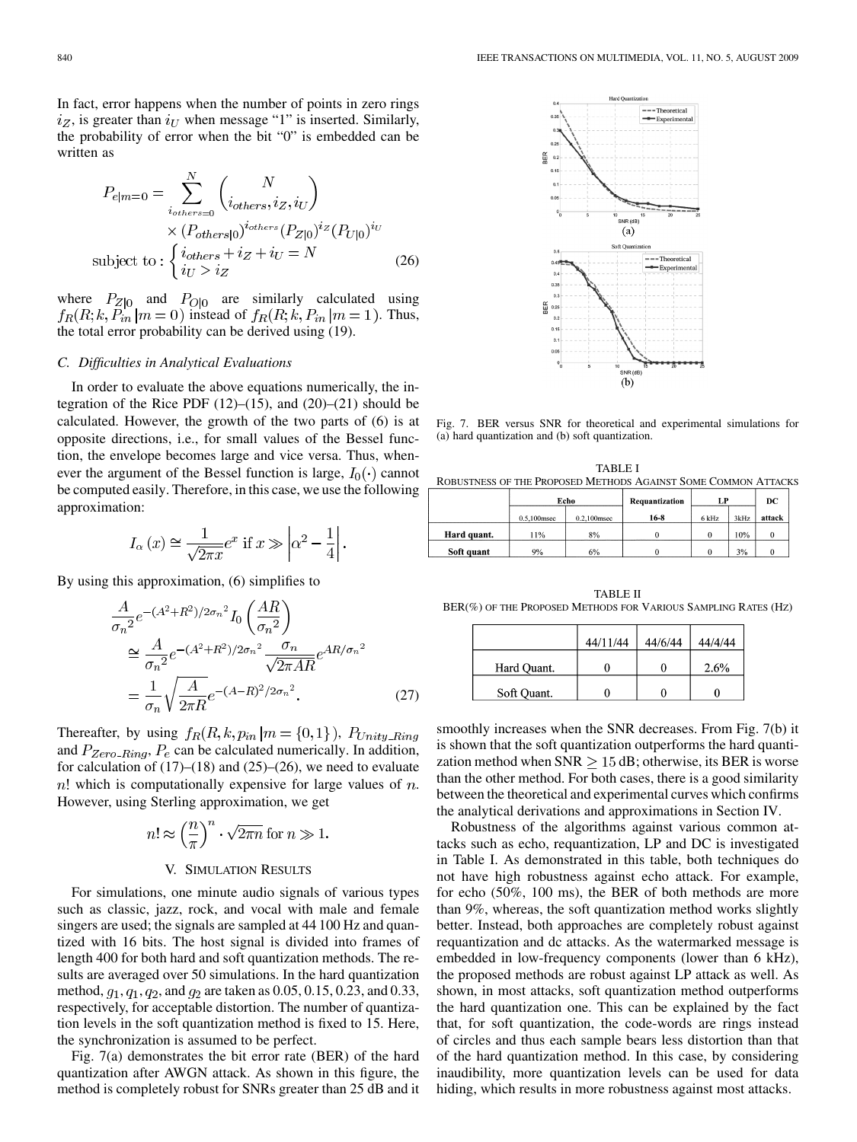In fact, error happens when the number of points in zero rings  $i_Z$ , is greater than  $i_U$  when message "1" is inserted. Similarly, the probability of error when the bit "0" is embedded can be written as

$$
P_{e|m=0} = \sum_{i_{others}=0}^{N} {N \choose i_{others}, i_Z, i_U}
$$

$$
\times (P_{others|0})^{i_{others}} (P_{Z|0})^{i_Z} (P_{U|0})^{i_U}
$$
subject to: 
$$
\begin{cases} i_{others} + i_Z + i_U = N \\ i_U > i_Z \end{cases}
$$
 (26)

where  $P_{Z|0}$  and  $P_{O|0}$  are similarly calculated using  $f_R(R; k, P_{in}|m=0)$  instead of  $f_R(R; k, P_{in}|m=1)$ . Thus, the total error probability can be derived using (19).

#### *C. Difficulties in Analytical Evaluations*

In order to evaluate the above equations numerically, the integration of the Rice PDF  $(12)$ – $(15)$ , and  $(20)$ – $(21)$  should be calculated. However, the growth of the two parts of (6) is at opposite directions, i.e., for small values of the Bessel function, the envelope becomes large and vice versa. Thus, whenever the argument of the Bessel function is large,  $I_0(\cdot)$  cannot be computed easily. Therefore, in this case, we use the following approximation:

$$
I_{\alpha}(x) \approx \frac{1}{\sqrt{2\pi x}} e^x
$$
 if  $x \gg \left| \alpha^2 - \frac{1}{4} \right|$ .

By using this approximation, (6) simplifies to

$$
\frac{A}{\sigma_n^2} e^{-(A^2 + R^2)/2\sigma_n^2} I_0 \left(\frac{AR}{\sigma_n^2}\right)
$$
\n
$$
\approx \frac{A}{\sigma_n^2} e^{-(A^2 + R^2)/2\sigma_n^2} \frac{\sigma_n}{\sqrt{2\pi AR}} e^{AR/\sigma_n^2}
$$
\n
$$
= \frac{1}{\sigma_n} \sqrt{\frac{A}{2\pi R}} e^{-(A - R)^2/2\sigma_n^2}.
$$
\n(27)

Thereafter, by using  $f_R(R, k, p_{in} | m = \{0, 1\})$ ,  $P_{Unity\_Ring}$ and  $P_{Zero\_Ring}$ ,  $P_e$  can be calculated numerically. In addition, for calculation of  $(17)$ – $(18)$  and  $(25)$ – $(26)$ , we need to evaluate  $n!$  which is computationally expensive for large values of  $n$ . However, using Sterling approximation, we get

$$
n! \approx \left(\frac{n}{\pi}\right)^n \cdot \sqrt{2\pi n} \text{ for } n \gg 1.
$$

## V. SIMULATION RESULTS

For simulations, one minute audio signals of various types such as classic, jazz, rock, and vocal with male and female singers are used; the signals are sampled at 44 100 Hz and quantized with 16 bits. The host signal is divided into frames of length 400 for both hard and soft quantization methods. The results are averaged over 50 simulations. In the hard quantization method,  $q_1, q_1, q_2$ , and  $q_2$  are taken as 0.05, 0.15, 0.23, and 0.33, respectively, for acceptable distortion. The number of quantization levels in the soft quantization method is fixed to 15. Here, the synchronization is assumed to be perfect.

Fig. 7(a) demonstrates the bit error rate (BER) of the hard quantization after AWGN attack. As shown in this figure, the method is completely robust for SNRs greater than 25 dB and it



Fig. 7. BER versus SNR for theoretical and experimental simulations for (a) hard quantization and (b) soft quantization.

TABLE I ROBUSTNESS OF THE PROPOSED METHODS AGAINST SOME COMMON ATTACKS

|             | Echo        |             | Requantization | I.P   |      | DC     |
|-------------|-------------|-------------|----------------|-------|------|--------|
|             | 0.5,100msec | 0.2.100msec | $16 - 8$       | 6 kHz | 3kHz | attack |
| Hard quant. | 11%         | 8%          |                | 0     | 10%  |        |
| Soft quant  | 9%          | 6%          |                | 0     | 3%   | 0      |

TABLE II BER(%) OF THE PROPOSED METHODS FOR VARIOUS SAMPLING RATES (HZ)

|             | 44/11/44 | 44/6/44 | 44/4/44 |
|-------------|----------|---------|---------|
| Hard Quant. |          |         | 2.6%    |
| Soft Quant. |          |         |         |

smoothly increases when the SNR decreases. From Fig. 7(b) it is shown that the soft quantization outperforms the hard quantization method when  $SNR > 15$  dB; otherwise, its BER is worse than the other method. For both cases, there is a good similarity between the theoretical and experimental curves which confirms the analytical derivations and approximations in Section IV.

Robustness of the algorithms against various common attacks such as echo, requantization, LP and DC is investigated in Table I. As demonstrated in this table, both techniques do not have high robustness against echo attack. For example, for echo (50%, 100 ms), the BER of both methods are more than 9%, whereas, the soft quantization method works slightly better. Instead, both approaches are completely robust against requantization and dc attacks. As the watermarked message is embedded in low-frequency components (lower than 6 kHz), the proposed methods are robust against LP attack as well. As shown, in most attacks, soft quantization method outperforms the hard quantization one. This can be explained by the fact that, for soft quantization, the code-words are rings instead of circles and thus each sample bears less distortion than that of the hard quantization method. In this case, by considering inaudibility, more quantization levels can be used for data hiding, which results in more robustness against most attacks.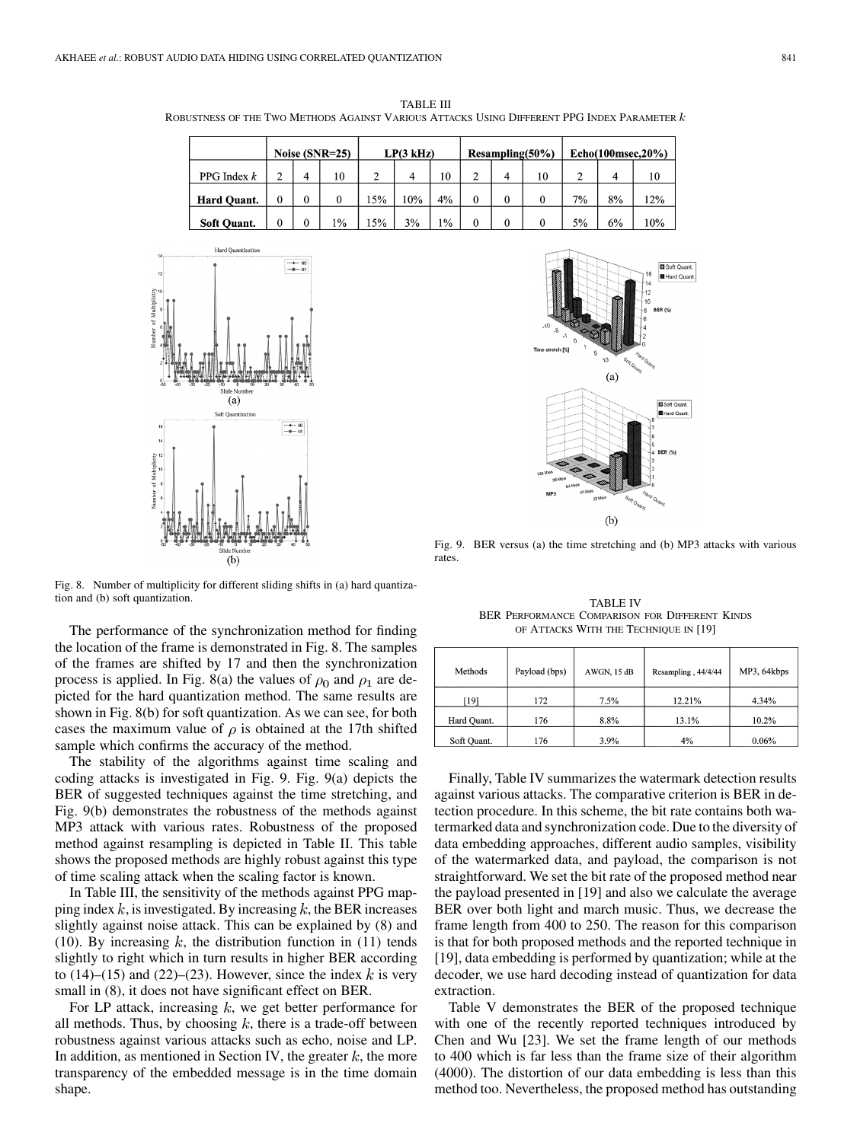TABLE III ROBUSTNESS OF THE TWO METHODS AGAINST VARIOUS ATTACKS USING DIFFERENT PPG INDEX PARAMETER  $k$ 

|                      | Noise $(SNR=25)$ |   |       | LP(3 kHz) |     | Resampling(50%) |   | Echo(100msec,20%) |    |    |    |     |
|----------------------|------------------|---|-------|-----------|-----|-----------------|---|-------------------|----|----|----|-----|
| <b>PPG</b> Index $k$ |                  | 4 | 10    |           | 4   | 10              | 2 | 4                 | 10 |    |    | 10  |
| Hard Quant.          |                  |   | 0     | 15%       | 10% | 4%              | 0 |                   | 0  | 7% | 8% | 12% |
| Soft Ouant.          |                  |   | $1\%$ | 15%       | 3%  | $1\%$           | 0 |                   | 0  | 5% | 6% | 10% |



Fig. 8. Number of multiplicity for different sliding shifts in (a) hard quantization and (b) soft quantization.

The performance of the synchronization method for finding the location of the frame is demonstrated in Fig. 8. The samples of the frames are shifted by 17 and then the synchronization process is applied. In Fig. 8(a) the values of  $\rho_0$  and  $\rho_1$  are depicted for the hard quantization method. The same results are shown in Fig. 8(b) for soft quantization. As we can see, for both cases the maximum value of  $\rho$  is obtained at the 17th shifted sample which confirms the accuracy of the method.

The stability of the algorithms against time scaling and coding attacks is investigated in Fig. 9. Fig. 9(a) depicts the BER of suggested techniques against the time stretching, and Fig. 9(b) demonstrates the robustness of the methods against MP3 attack with various rates. Robustness of the proposed method against resampling is depicted in Table II. This table shows the proposed methods are highly robust against this type of time scaling attack when the scaling factor is known.

In Table III, the sensitivity of the methods against PPG mapping index  $k$ , is investigated. By increasing  $k$ , the BER increases slightly against noise attack. This can be explained by (8) and (10). By increasing  $k$ , the distribution function in (11) tends slightly to right which in turn results in higher BER according to  $(14)$ – $(15)$  and  $(22)$ – $(23)$ . However, since the index k is very small in (8), it does not have significant effect on BER.

For LP attack, increasing  $k$ , we get better performance for all methods. Thus, by choosing  $k$ , there is a trade-off between robustness against various attacks such as echo, noise and LP. In addition, as mentioned in Section IV, the greater  $k$ , the more transparency of the embedded message is in the time domain shape.



Fig. 9. BER versus (a) the time stretching and (b) MP3 attacks with various rates

TABLE IV BER PERFORMANCE COMPARISON FOR DIFFERENT KINDS OF ATTACKS WITH THE TECHNIQUE IN [19]

| Methods     | Payload (bps) | AWGN, 15 dB | Resampling, 44/4/44 | MP3, 64kbps |
|-------------|---------------|-------------|---------------------|-------------|
| [19]        | 172           | 7.5%        | 12.21%              | 4.34%       |
| Hard Quant. | 176           | 8.8%        | 13.1%               | 10.2%       |
| Soft Ouant. | 176           | 3.9%        | 4%                  | 0.06%       |

Finally, Table IV summarizes the watermark detection results against various attacks. The comparative criterion is BER in detection procedure. In this scheme, the bit rate contains both watermarked data and synchronization code. Due to the diversity of data embedding approaches, different audio samples, visibility of the watermarked data, and payload, the comparison is not straightforward. We set the bit rate of the proposed method near the payload presented in [19] and also we calculate the average BER over both light and march music. Thus, we decrease the frame length from 400 to 250. The reason for this comparison is that for both proposed methods and the reported technique in [19], data embedding is performed by quantization; while at the decoder, we use hard decoding instead of quantization for data extraction.

Table V demonstrates the BER of the proposed technique with one of the recently reported techniques introduced by Chen and Wu [23]. We set the frame length of our methods to 400 which is far less than the frame size of their algorithm (4000). The distortion of our data embedding is less than this method too. Nevertheless, the proposed method has outstanding